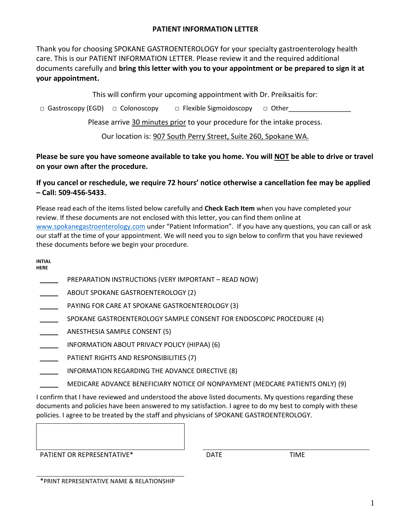## **PATIENT INFORMATION LETTER**

Thank you for choosing SPOKANE GASTROENTEROLOGY for your specialty gastroenterology health care. This is our PATIENT INFORMATION LETTER. Please review it and the required additional documents carefully and **bring this letter with you to your appointment or be prepared to sign it at your appointment.**

This will confirm your upcoming appointment with Dr. Preiksaitis for:

□ Gastroscopy (EGD) □ Colonoscopy □ Flexible Sigmoidoscopy □ Other

Please arrive 30 minutes prior to your procedure for the intake process.

Our location is: 907 South Perry Street, Suite 260, Spokane WA.

**Please be sure you have someone available to take you home. You will NOT be able to drive or travel on your own after the procedure.**

**If you cancel or reschedule, we require 72 hours' notice otherwise a cancellation fee may be applied – Call: 509-456-5433.**

Please read each of the items listed below carefully and **Check Each Item** when you have completed your review. If these documents are not enclosed with this letter, you can find them online at [www.spokanegastroenterology.com](http://www.spokanegastroenterology.com/) under "Patient Information". If you have any questions, you can call or ask our staff at the time of your appointment. We will need you to sign below to confirm that you have reviewed these documents before we begin your procedure.

**INTIAL HERE**

**\_\_\_\_\_** PREPARATION INSTRUCTIONS (VERY IMPORTANT – READ NOW)

**\_\_\_\_\_** ABOUT SPOKANE GASTROENTEROLOGY (2)

PAYING FOR CARE AT SPOKANE GASTROENTEROLOGY (3)

**\_\_\_\_\_** SPOKANE GASTROENTEROLOGY SAMPLE CONSENT FOR ENDOSCOPIC PROCEDURE (4)

**\_\_\_\_\_** ANESTHESIA SAMPLE CONSENT (5)

**\_\_\_\_\_** INFORMATION ABOUT PRIVACY POLICY (HIPAA) (6)

PATIENT RIGHTS AND RESPONSIBILITIES (7)

**\_\_\_\_\_** INFORMATION REGARDING THE ADVANCE DIRECTIVE (8)

**\_\_\_\_\_** MEDICARE ADVANCE BENEFICIARY NOTICE OF NONPAYMENT (MEDCARE PATIENTS ONLY) (9)

I confirm that I have reviewed and understood the above listed documents. My questions regarding these documents and policies have been answered to my satisfaction. I agree to do my best to comply with these policies. I agree to be treated by the staff and physicians of SPOKANE GASTROENTEROLOGY.

PATIENT OR REPRESENTATIVE\* TIME TIME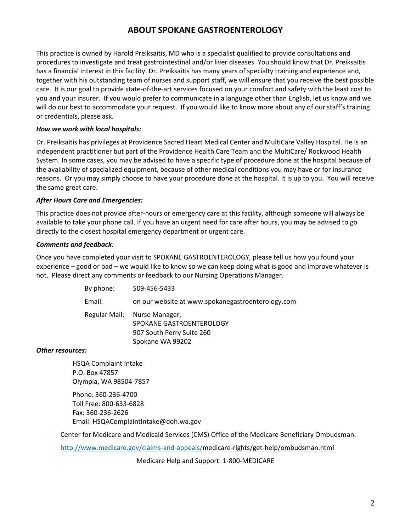# **ABOUT SPOKANE GASTROENTEROLOGY**

This practice is owned by Harold Preiksaitis, MD who is a specialist qualified to provide consultations and procedures to investigate and treat gastrointestinal and/or liver diseases. You should know that Dr. Preiksaitis has a financial interest in this facility. Dr. Preiksaitis has many years of specialty training and experience and, together with his outstanding team of nurses and support staff, we will ensure that you receive the best possible care. It is our goal to provide state-of-the-art services focused on your comfort and safety with the least cost to you and your insurer. If you would prefer to communicate in a language other than English, let us know and we will do our best to accommodate your request. If you would like to know more about any of our staff's training or credentials, please ask.

### *How we work with local hospitals:*

Dr. Preiksaitis has privileges at Providence Sacred Heart Medical Center and MultiCare Valley Hospital. He is an independent practitioner but part of the Providence Health Care Team and the MultiCare/ Rockwood Health System. In some cases, you may be advised to have a specific type of procedure done at the hospital because of the availability of specialized equipment, because of other medical conditions you may have or for insurance reasons. Or you may simply choose to have your procedure done at the hospital. It is up to you. You will receive the same great care.

### *After Hours Care and Emergencies:*

This practice does not provide after-hours or emergency care at this facility, although someone will always be available to take your phone call. If you have an urgent need for care after hours, you may be advised to go directly to the closest hospital emergency department or urgent care.

### *Comments and feedback:*

Once you have completed your visit to SPOKANE GASTROENTEROLOGY, please tell us how you found your experience – good or bad – we would like to know so we can keep doing what is good and improve whatever is not. Please direct any comments or feedback to our Nursing Operations Manager.

| By phone: | 509-456-5433                                                                                              |
|-----------|-----------------------------------------------------------------------------------------------------------|
| Email:    | on our website at www.spokanegastroenterology.com                                                         |
|           | Regular Mail: Nurse Manager,<br>SPOKANE GASTROENTEROLOGY<br>907 South Perry Suite 260<br>Spokane WA 99202 |

### *Other resources:*

HSQA Complaint Intake P.O. Box 47857 Olympia, WA 98504-7857

Phone: 360-236-4700 Toll Free: 800-633-6828 Fax: 360-236-2626 Email: HSQAComplaintIntake@doh.wa.gov

Center for Medicare and Medicaid Services (CMS) Office of the Medicare Beneficiary Ombudsman:

[http://www.medicare.gov/claims-and-appeals/m](http://www.medicare.gov/claims-and-appeals/)edicare-rights/get-help/ombudsman.html

Medicare Help and Support: 1-800-MEDICARE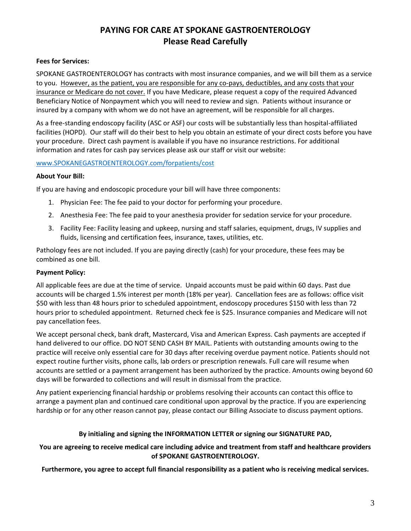# **PAYING FOR CARE AT SPOKANE GASTROENTEROLOGY Please Read Carefully**

### **Fees for Services:**

SPOKANE GASTROENTEROLOGY has contracts with most insurance companies, and we will bill them as a service to you. However, as the patient, you are responsible for any co-pays, deductibles, and any costs that your insurance or Medicare do not cover. If you have Medicare, please request a copy of the required Advanced Beneficiary Notice of Nonpayment which you will need to review and sign. Patients without insurance or insured by a company with whom we do not have an agreement, will be responsible for all charges.

As a free-standing endoscopy facility (ASC or ASF) our costs will be substantially less than hospital-affiliated facilities (HOPD). Our staff will do their best to help you obtain an estimate of your direct costs before you have your procedure. Direct cash payment is available if you have no insurance restrictions. For additional information and rates for cash pay services please ask our staff or visit our website:

### [www.SPOKANEGASTROENTEROLOGY.com/forp](http://www.spokanegastroenterology.com/for)atients/cost

### **About Your Bill:**

If you are having and endoscopic procedure your bill will have three components:

- 1. Physician Fee: The fee paid to your doctor for performing your procedure.
- 2. Anesthesia Fee: The fee paid to your anesthesia provider for sedation service for your procedure.
- 3. Facility Fee: Facility leasing and upkeep, nursing and staff salaries, equipment, drugs, IV supplies and fluids, licensing and certification fees, insurance, taxes, utilities, etc.

Pathology fees are not included. If you are paying directly (cash) for your procedure, these fees may be combined as one bill.

### **Payment Policy:**

All applicable fees are due at the time of service. Unpaid accounts must be paid within 60 days. Past due accounts will be charged 1.5% interest per month (18% per year). Cancellation fees are as follows: office visit \$50 with less than 48 hours prior to scheduled appointment, endoscopy procedures \$150 with less than 72 hours prior to scheduled appointment. Returned check fee is \$25. Insurance companies and Medicare will not pay cancellation fees.

We accept personal check, bank draft, Mastercard, Visa and American Express. Cash payments are accepted if hand delivered to our office. DO NOT SEND CASH BY MAIL. Patients with outstanding amounts owing to the practice will receive only essential care for 30 days after receiving overdue payment notice. Patients should not expect routine further visits, phone calls, lab orders or prescription renewals. Full care will resume when accounts are settled or a payment arrangement has been authorized by the practice. Amounts owing beyond 60 days will be forwarded to collections and will result in dismissal from the practice.

Any patient experiencing financial hardship or problems resolving their accounts can contact this office to arrange a payment plan and continued care conditional upon approval by the practice. If you are experiencing hardship or for any other reason cannot pay, please contact our Billing Associate to discuss payment options.

### **By initialing and signing the INFORMATION LETTER or signing our SIGNATURE PAD,**

## **You are agreeing to receive medical care including advice and treatment from staff and healthcare providers of SPOKANE GASTROENTEROLOGY.**

**Furthermore, you agree to accept full financial responsibility as a patient who is receiving medical services.**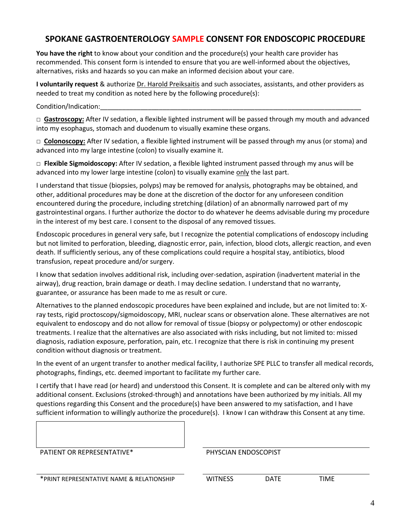## **SPOKANE GASTROENTEROLOGY SAMPLE CONSENT FOR ENDOSCOPIC PROCEDURE**

**You have the right** to know about your condition and the procedure(s) your health care provider has recommended. This consent form is intended to ensure that you are well-informed about the objectives, alternatives, risks and hazards so you can make an informed decision about your care.

**I voluntarily request** & authorize Dr. Harold Preiksaitis and such associates, assistants, and other providers as needed to treat my condition as noted here by the following procedure(s):

Condition/Indication:

**□ Gastroscopy:** After IV sedation, a flexible lighted instrument will be passed through my mouth and advanced into my esophagus, stomach and duodenum to visually examine these organs.

**□ Colonoscopy:** After IV sedation, a flexible lighted instrument will be passed through my anus (or stoma) and advanced into my large intestine (colon) to visually examine it.

**□ Flexible Sigmoidoscopy:** After IV sedation, a flexible lighted instrument passed through my anus will be advanced into my lower large intestine (colon) to visually examine only the last part.

I understand that tissue (biopsies, polyps) may be removed for analysis, photographs may be obtained, and other, additional procedures may be done at the discretion of the doctor for any unforeseen condition encountered during the procedure, including stretching (dilation) of an abnormally narrowed part of my gastrointestinal organs. I further authorize the doctor to do whatever he deems advisable during my procedure in the interest of my best care. I consent to the disposal of any removed tissues.

Endoscopic procedures in general very safe, but I recognize the potential complications of endoscopy including but not limited to perforation, bleeding, diagnostic error, pain, infection, blood clots, allergic reaction, and even death. If sufficiently serious, any of these complications could require a hospital stay, antibiotics, blood transfusion, repeat procedure and/or surgery.

I know that sedation involves additional risk, including over-sedation, aspiration (inadvertent material in the airway), drug reaction, brain damage or death. I may decline sedation. I understand that no warranty, guarantee, or assurance has been made to me as result or cure.

Alternatives to the planned endoscopic procedures have been explained and include, but are not limited to: Xray tests, rigid proctoscopy/sigmoidoscopy, MRI, nuclear scans or observation alone. These alternatives are not equivalent to endoscopy and do not allow for removal of tissue (biopsy or polypectomy) or other endoscopic treatments. I realize that the alternatives are also associated with risks including, but not limited to: missed diagnosis, radiation exposure, perforation, pain, etc. I recognize that there is risk in continuing my present condition without diagnosis or treatment.

In the event of an urgent transfer to another medical facility, I authorize SPE PLLC to transfer all medical records, photographs, findings, etc. deemed important to facilitate my further care.

I certify that I have read (or heard) and understood this Consent. It is complete and can be altered only with my additional consent. Exclusions (stroked-through) and annotations have been authorized by my initials. All my questions regarding this Consent and the procedure(s) have been answered to my satisfaction, and I have sufficient information to willingly authorize the procedure(s). I know I can withdraw this Consent at any time.

PHYSCIAN ENDOSCOPIST

| *PRINT REPRESENTATIVE NAME & RELATIONSHIP | WITNESS |  | ΓΙΜΕ |
|-------------------------------------------|---------|--|------|
|-------------------------------------------|---------|--|------|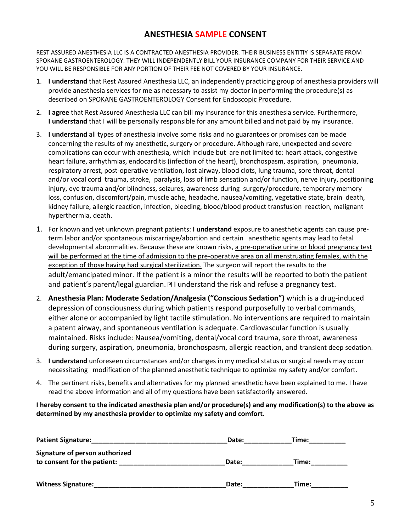## **ANESTHESIA SAMPLE CONSENT**

REST ASSURED ANESTHESIA LLC IS A CONTRACTED ANESTHESIA PROVIDER. THEIR BUSINESS ENTITIY IS SEPARATE FROM SPOKANE GASTROENTEROLOGY. THEY WILL INDEPENDENTLY BILL YOUR INSURANCE COMPANY FOR THEIR SERVICE AND YOU WILL BE RESPONSIBLE FOR ANY PORTION OF THEIR FEE NOT COVERED BY YOUR INSURANCE.

- 1. **I understand** that Rest Assured Anesthesia LLC, an independently practicing group of anesthesia providers will provide anesthesia services for me as necessary to assist my doctor in performing the procedure(s) as described on SPOKANE GASTROENTEROLOGY Consent for Endoscopic Procedure.
- 2. **I agree** that Rest Assured Anesthesia LLC can bill my insurance for this anesthesia service. Furthermore, **I understand** that I will be personally responsible for any amount billed and not paid by my insurance.
- 3. **I understand** all types of anesthesia involve some risks and no guarantees or promises can be made concerning the results of my anesthetic, surgery or procedure. Although rare, unexpected and severe complications can occur with anesthesia, which include but are not limited to: heart attack, congestive heart failure, arrhythmias, endocarditis (infection of the heart), bronchospasm, aspiration, pneumonia, respiratory arrest, post-operative ventilation, lost airway, blood clots, lung trauma, sore throat, dental and/or vocal cord trauma, stroke, paralysis, loss of limb sensation and/or function, nerve injury, positioning injury, eye trauma and/or blindness, seizures, awareness during surgery/procedure, temporary memory loss, confusion, discomfort/pain, muscle ache, headache, nausea/vomiting, vegetative state, brain death, kidney failure, allergic reaction, infection, bleeding, blood/blood product transfusion reaction, malignant hyperthermia, death.
- 1. For known and yet unknown pregnant patients: **I understand** exposure to anesthetic agents can cause preterm labor and/or spontaneous miscarriage/abortion and certain anesthetic agents may lead to fetal developmental abnormalities. Because these are known risks, a pre-operative urine or blood pregnancy test will be performed at the time of admission to the pre-operative area on all menstruating females, with the exception of those having had surgical sterilization. The surgeon will report the results to the adult/emancipated minor. If the patient is a minor the results will be reported to both the patient and patient's parent/legal guardian.  $\mathbb{Z}$  I understand the risk and refuse a pregnancy test.
- 2. **Anesthesia Plan: Moderate Sedation/Analgesia ("Conscious Sedation")** which is a drug-induced depression of consciousness during which patients respond purposefully to verbal commands, either alone or accompanied by light tactile stimulation. No interventions are required to maintain a patent airway, and spontaneous ventilation is adequate. Cardiovascular function is usually maintained. Risks include: Nausea/vomiting, dental/vocal cord trauma, sore throat, awareness during surgery, aspiration, pneumonia, bronchospasm, allergic reaction, and transient deep sedation.
- 3. **I understand** unforeseen circumstances and/or changes in my medical status or surgical needs may occur necessitating modification of the planned anesthetic technique to optimize my safety and/or comfort.
- 4. The pertinent risks, benefits and alternatives for my planned anesthetic have been explained to me. I have read the above information and all of my questions have been satisfactorily answered.

**I hereby consent to the indicated anesthesia plan and/or procedure(s) and any modification(s) to the above as determined by my anesthesia provider to optimize my safety and comfort.** 

| <b>Patient Signature:</b>                                     | Date: | Time: |
|---------------------------------------------------------------|-------|-------|
| Signature of person authorized<br>to consent for the patient: | Date: | Time: |
| <b>Witness Signature:</b>                                     | Date: | Time: |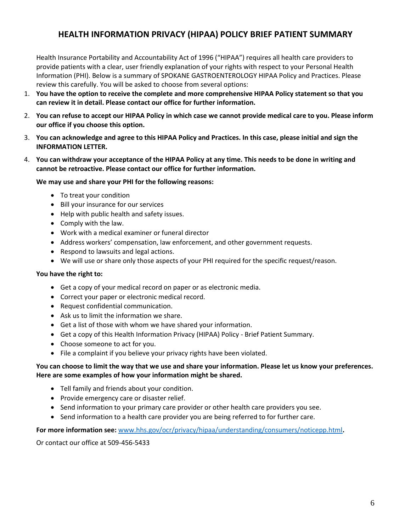# **HEALTH INFORMATION PRIVACY (HIPAA) POLICY BRIEF PATIENT SUMMARY**

Health Insurance Portability and Accountability Act of 1996 ("HIPAA") requires all health care providers to provide patients with a clear, user friendly explanation of your rights with respect to your Personal Health Information (PHI). Below is a summary of SPOKANE GASTROENTEROLOGY HIPAA Policy and Practices. Please review this carefully. You will be asked to choose from several options:

- 1. **You have the option to receive the complete and more comprehensive HIPAA Policy statement so that you can review it in detail. Please contact our office for further information.**
- 2. **You can refuse to accept our HIPAA Policy in which case we cannot provide medical care to you. Please inform our office if you choose this option.**
- 3. **You can acknowledge and agree to this HIPAA Policy and Practices. In this case, please initial and sign the INFORMATION LETTER.**
- 4. **You can withdraw your acceptance of the HIPAA Policy at any time. This needs to be done in writing and cannot be retroactive. Please contact our office for further information.**

#### **We may use and share your PHI for the following reasons:**

- To treat your condition
- Bill your insurance for our services
- Help with public health and safety issues.
- Comply with the law.
- Work with a medical examiner or funeral director
- Address workers' compensation, law enforcement, and other government requests.
- Respond to lawsuits and legal actions.
- We will use or share only those aspects of your PHI required for the specific request/reason.

### **You have the right to:**

- Get a copy of your medical record on paper or as electronic media.
- Correct your paper or electronic medical record.
- Request confidential communication.
- Ask us to limit the information we share.
- Get a list of those with whom we have shared your information.
- Get a copy of this Health Information Privacy (HIPAA) Policy Brief Patient Summary.
- Choose someone to act for you.
- File a complaint if you believe your privacy rights have been violated.

### **You can choose to limit the way that we use and share your information. Please let us know your preferences. Here are some examples of how your information might be shared.**

- Tell family and friends about your condition.
- Provide emergency care or disaster relief.
- Send information to your primary care provider or other health care providers you see.
- Send information to a health care provider you are being referred to for further care.

### **For more information see:** [www.hhs.gov/ocr/privacy/hipaa/understanding/consumers/noticepp.html](http://www.hhs.gov/ocr/privacy/hipaa/understanding/consumers/noticepp.html)**.**

Or contact our office at 509-456-5433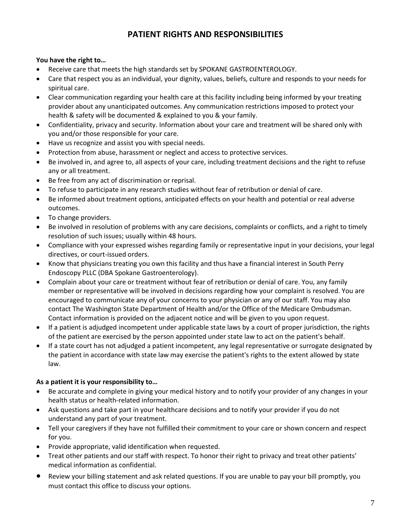# **PATIENT RIGHTS AND RESPONSIBILITIES**

## **You have the right to…**

- Receive care that meets the high standards set by SPOKANE GASTROENTEROLOGY.
- Care that respect you as an individual, your dignity, values, beliefs, culture and responds to your needs for spiritual care.
- Clear communication regarding your health care at this facility including being informed by your treating provider about any unanticipated outcomes. Any communication restrictions imposed to protect your health & safety will be documented & explained to you & your family.
- Confidentiality, privacy and security. Information about your care and treatment will be shared only with you and/or those responsible for your care.
- Have us recognize and assist you with special needs.
- Protection from abuse, harassment or neglect and access to protective services.
- Be involved in, and agree to, all aspects of your care, including treatment decisions and the right to refuse any or all treatment.
- Be free from any act of discrimination or reprisal.
- To refuse to participate in any research studies without fear of retribution or denial of care.
- Be informed about treatment options, anticipated effects on your health and potential or real adverse outcomes.
- To change providers.
- Be involved in resolution of problems with any care decisions, complaints or conflicts, and a right to timely resolution of such issues; usually within 48 hours.
- Compliance with your expressed wishes regarding family or representative input in your decisions, your legal directives, or court-issued orders.
- Know that physicians treating you own this facility and thus have a financial interest in South Perry Endoscopy PLLC (DBA Spokane Gastroenterology).
- Complain about your care or treatment without fear of retribution or denial of care. You, any family member or representative will be involved in decisions regarding how your complaint is resolved. You are encouraged to communicate any of your concerns to your physician or any of our staff. You may also contact The Washington State Department of Health and/or the Office of the Medicare Ombudsman. Contact information is provided on the adjacent notice and will be given to you upon request.
- If a patient is adjudged incompetent under applicable state laws by a court of proper jurisdiction, the rights of the patient are exercised by the person appointed under state law to act on the patient's behalf.
- If a state court has not adjudged a patient incompetent, any legal representative or surrogate designated by the patient in accordance with state law may exercise the patient's rights to the extent allowed by state law.

## **As a patient it is your responsibility to…**

- Be accurate and complete in giving your medical history and to notify your provider of any changes in your health status or health-related information.
- Ask questions and take part in your healthcare decisions and to notify your provider if you do not understand any part of your treatment.
- Tell your caregivers if they have not fulfilled their commitment to your care or shown concern and respect for you.
- Provide appropriate, valid identification when requested.
- Treat other patients and our staff with respect. To honor their right to privacy and treat other patients' medical information as confidential.
- Review your billing statement and ask related questions. If you are unable to pay your bill promptly, you must contact this office to discuss your options.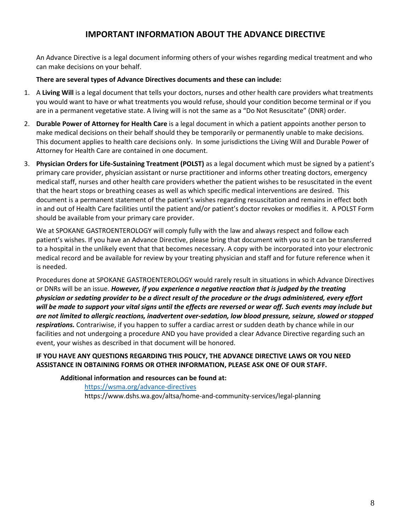## **IMPORTANT INFORMATION ABOUT THE ADVANCE DIRECTIVE**

An Advance Directive is a legal document informing others of your wishes regarding medical treatment and who can make decisions on your behalf.

### **There are several types of Advance Directives documents and these can include:**

- 1. A **Living Will** is a legal document that tells your doctors, nurses and other health care providers what treatments you would want to have or what treatments you would refuse, should your condition become terminal or if you are in a permanent vegetative state. A living will is not the same as a "Do Not Resuscitate" (DNR) order.
- 2. **Durable Power of Attorney for Health Care** is a legal document in which a patient appoints another person to make medical decisions on their behalf should they be temporarily or permanently unable to make decisions. This document applies to health care decisions only. In some jurisdictions the Living Will and Durable Power of Attorney for Health Care are contained in one document.
- 3. **Physician Orders for Life-Sustaining Treatment (POLST)** as a legal document which must be signed by a patient's primary care provider, physician assistant or nurse practitioner and informs other treating doctors, emergency medical staff, nurses and other health care providers whether the patient wishes to be resuscitated in the event that the heart stops or breathing ceases as well as which specific medical interventions are desired. This document is a permanent statement of the patient's wishes regarding resuscitation and remains in effect both in and out of Health Care facilities until the patient and/or patient's doctor revokes or modifies it. A POLST Form should be available from your primary care provider.

We at SPOKANE GASTROENTEROLOGY will comply fully with the law and always respect and follow each patient's wishes. If you have an Advance Directive, please bring that document with you so it can be transferred to a hospital in the unlikely event that that becomes necessary. A copy with be incorporated into your electronic medical record and be available for review by your treating physician and staff and for future reference when it is needed.

Procedures done at SPOKANE GASTROENTEROLOGY would rarely result in situations in which Advance Directives or DNRs will be an issue. *However, if you experience a negative reaction that is judged by the treating physician or sedating provider to be a direct result of the procedure or the drugs administered, every effort will be made to support your vital signs until the effects are reversed or wear off. Such events may include but are not limited to allergic reactions, inadvertent over-sedation, low blood pressure, seizure, slowed or stopped respirations.* Contrariwise, if you happen to suffer a cardiac arrest or sudden death by chance while in our facilities and not undergoing a procedure AND you have provided a clear Advance Directive regarding such an event, your wishes as described in that document will be honored.

## **IF YOU HAVE ANY QUESTIONS REGARDING THIS POLICY, THE ADVANCE DIRECTIVE LAWS OR YOU NEED ASSISTANCE IN OBTAINING FORMS OR OTHER INFORMATION, PLEASE ASK ONE OF OUR STAFF.**

**Additional information and resources can be found at:** 

<https://wsma.org/advance-directives> https://www.dshs.wa.gov/altsa/home-and-community-services/legal-planning